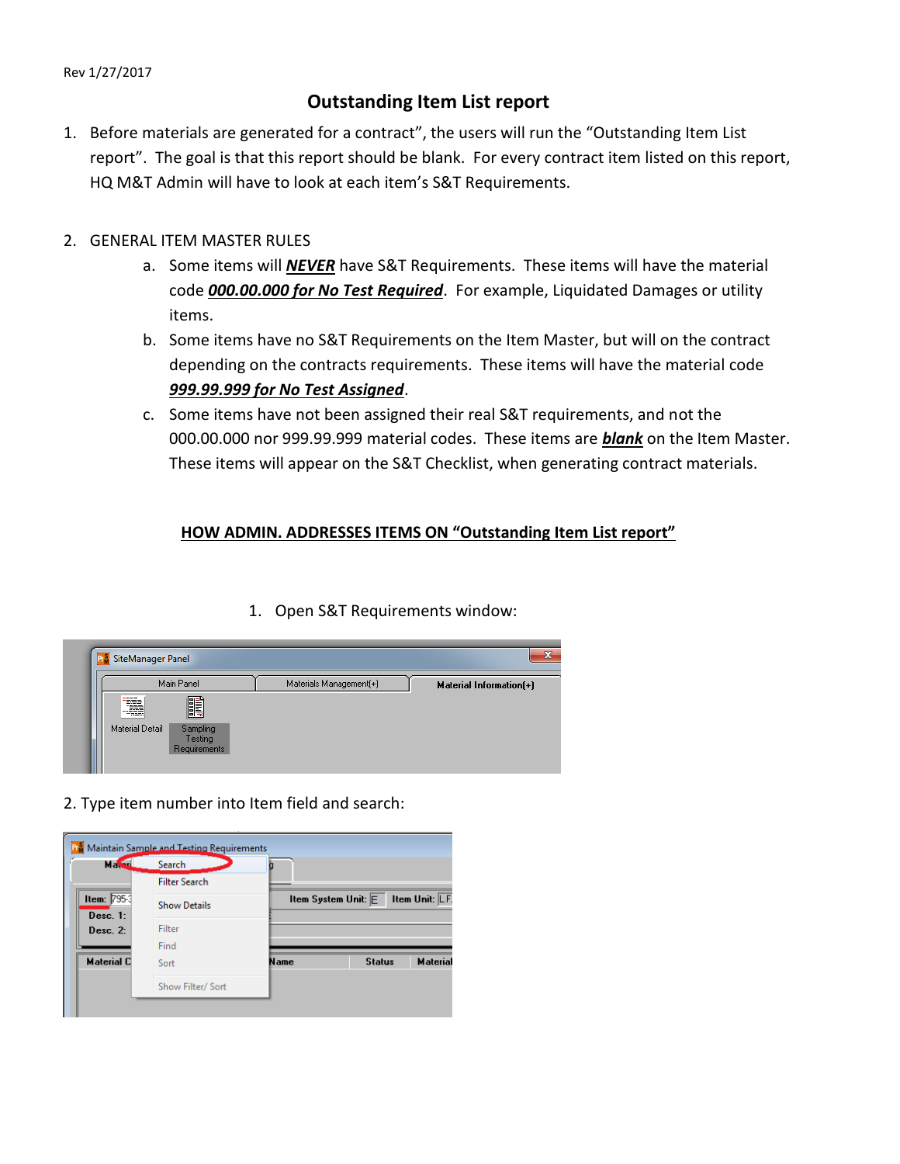## Rev 1/27/2017

## **Outstanding Item List report**

- 1. Before materials are generated for a contract", the users will run the "Outstanding Item List report". The goal is that this report should be blank. For every contract item listed on this report, HQ M&T Admin will have to look at each item's S&T Requirements.
- 2. GENERAL ITEM MASTER RULES
	- a. Some items will *NEVER* have S&T Requirements. These items will have the material code *000.00.000 for No Test Required*. For example, Liquidated Damages or utility items.
	- b. Some items have no S&T Requirements on the Item Master, but will on the contract depending on the contracts requirements. These items will have the material code *999.99.999 for No Test Assigned*.
	- c. Some items have not been assigned their real S&T requirements, and not the 000.00.000 nor 999.99.999 material codes. These items are *blank* on the Item Master. These items will appear on the S&T Checklist, when generating contract materials.

## **HOW ADMIN. ADDRESSES ITEMS ON "Outstanding Item List report"**

|                        | Main Panel | Materials Management(+) | <b>Material Information(+)</b> |
|------------------------|------------|-------------------------|--------------------------------|
| ▄▄▄                    |            |                         |                                |
| ----<br>æ<br>-825      | E          |                         |                                |
| <b>Material Detail</b> | Sampling   |                         |                                |
|                        | Testing    |                         |                                |

1. Open S&T Requirements window:

2. Type item number into Item field and search: